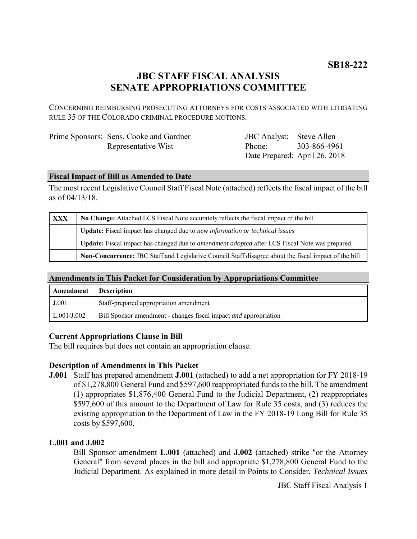# **JBC STAFF FISCAL ANALYSIS SENATE APPROPRIATIONS COMMITTEE**

CONCERNING REIMBURSING PROSECUTING ATTORNEYS FOR COSTS ASSOCIATED WITH LITIGATING RULE 35 OF THE COLORADO CRIMINAL PROCEDURE MOTIONS.

| Prime Sponsors: Sens. Cooke and Gardner |
|-----------------------------------------|
| Representative Wist                     |

JBC Analyst: Steve Allen Phone: Date Prepared: April 26, 2018 303-866-4961

## **Fiscal Impact of Bill as Amended to Date**

The most recent Legislative Council Staff Fiscal Note (attached) reflects the fiscal impact of the bill as of 04/13/18.

| <b>XXX</b> | No Change: Attached LCS Fiscal Note accurately reflects the fiscal impact of the bill                        |  |
|------------|--------------------------------------------------------------------------------------------------------------|--|
|            | <b>Update:</b> Fiscal impact has changed due to new information or technical issues                          |  |
|            | <b>Update:</b> Fiscal impact has changed due to <i>amendment adopted</i> after LCS Fiscal Note was prepared  |  |
|            | <b>Non-Concurrence:</b> JBC Staff and Legislative Council Staff disagree about the fiscal impact of the bill |  |

# **Amendments in This Packet for Consideration by Appropriations Committee**

| Amendment   | <b>Description</b>                                                      |
|-------------|-------------------------------------------------------------------------|
| J.001       | Staff-prepared appropriation amendment                                  |
| L.001/J.002 | Bill Sponsor amendment - changes fiscal impact <i>and</i> appropriation |

### **Current Appropriations Clause in Bill**

The bill requires but does not contain an appropriation clause.

# **Description of Amendments in This Packet**

**J.001** Staff has prepared amendment **J.001** (attached) to add a net appropriation for FY 2018-19 of \$1,278,800 General Fund and \$597,600 reappropriated funds to the bill. The amendment (1) appropriates \$1,876,400 General Fund to the Judicial Department, (2) reappropriates \$597,600 of this amount to the Department of Law for Rule 35 costs, and (3) reduces the existing appropriation to the Department of Law in the FY 2018-19 Long Bill for Rule 35 costs by \$597,600.

### **L.001 and J.002**

Bill Sponsor amendment **L.001** (attached) and **J.002** (attached) strike "or the Attorney General" from several places in the bill and appropriate \$1,278,800 General Fund to the Judicial Department. As explained in more detail in Points to Consider, *Technical Issues* 

JBC Staff Fiscal Analysis 1